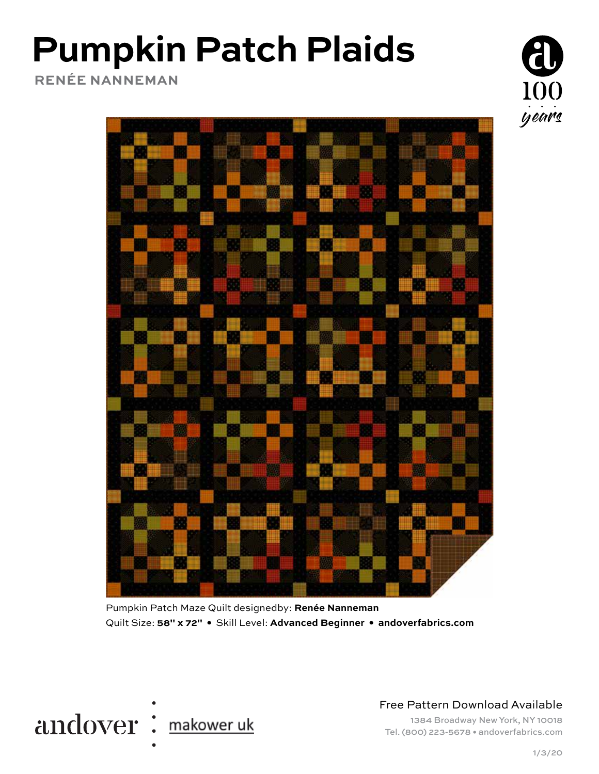# **Pumpkin Patch Plaids**

**RENÉE NANNEMAN**



Pumpkin Patch Maze Quilt designedby: **Renée Nanneman** Quilt Size: **58" x 72" •** Skill Level: **Advanced Beginner • andoverfabrics.com**



Free Pattern Download Available

1384 Broadway New York, NY 10018 Tel. (800) 223-5678 • andoverfabrics.com

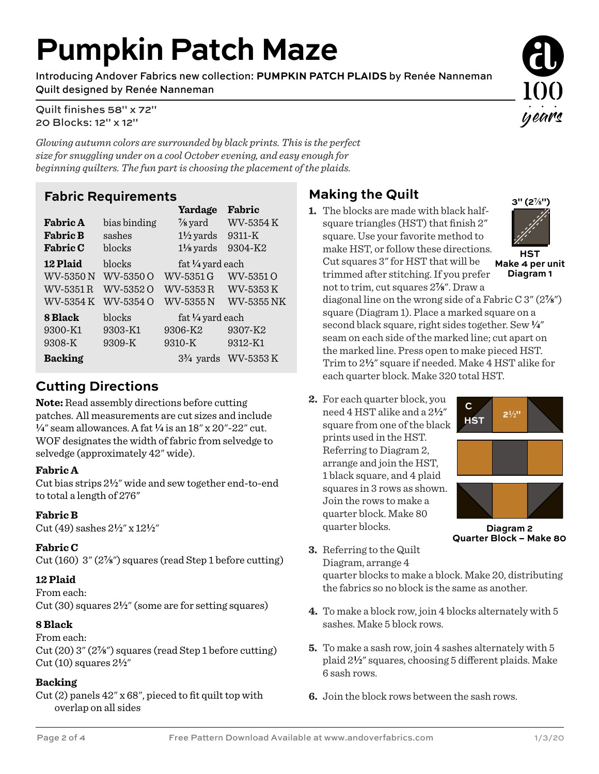## **Pumpkin Patch Maze**

Introducing Andover Fabrics new collection: **PUMPKIN PATCH PLAIDS** by Renée Nanneman Quilt designed by Renée Nanneman

Quilt finishes 58" x 72" 20 Blocks: 12" x 12"

*Glowing autumn colors are surrounded by black prints. This is the perfect size for snuggling under on a cool October evening, and easy enough for beginning quilters. The fun part is choosing the placement of the plaids.*

#### **Fabric Requirements**

|                 |              | Yardage              | Fabric     |  |
|-----------------|--------------|----------------------|------------|--|
| <b>Fabric A</b> | bias binding | $\frac{7}{8}$ yard   | WV-5354 K  |  |
| <b>Fabric B</b> | sashes       | $1\frac{1}{2}$ yards | 9311-K     |  |
| <b>Fabric C</b> | blocks       | $1\frac{1}{8}$ yards | 9304-K2    |  |
| <b>12 Plaid</b> | blocks       | fat 1/4 yard each    |            |  |
| WV-5350 N       | WV-5350 O    | WV-5351 G            | WV-5351 O  |  |
| WV-5351 R       | WV-53520     | WV-5353 R            | WV-5353K   |  |
| WV-5354 K       | WV-5354 O    | WV-5355N             | WV-5355 NK |  |
| 8 Black         | blocks       | fat 1/4 yard each    |            |  |
| 9300-K1         | 9303-K1      | 9306-K2              | 9307-K2    |  |
| 9308-K          | 9309-K       | 9310-K               | 9312-K1    |  |
| <b>Backing</b>  |              | $3\frac{3}{4}$ vards | WV-5353 K  |  |

### **Cutting Directions**

**Note:** Read assembly directions before cutting patches. All measurements are cut sizes and include **4**" seam allowances. A fat **4** is an 18" x 20"-22" cut. WOF designates the width of fabric from selvedge to selvedge (approximately 42" wide).

#### **Fabric A**

Cut bias strips 2**2**" wide and sew together end-to-end to total a length of 276"

#### **Fabric B**

Cut (49) sashes 2**2**" x 12**2**"

#### **Fabric C**

Cut (160) 3" (2**f**") squares (read Step 1 before cutting)

#### **12 Plaid**

From each: Cut (30) squares 2**2**" (some are for setting squares)

#### **8 Black**

From each: Cut (20) 3" (2**f**") squares (read Step 1 before cutting) Cut (10) squares 2**2**"

#### **Backing**

Cut (2) panels 42" x 68", pieced to fit quilt top with overlap on all sides

### **Making the Quilt**

**1.** The blocks are made with black halfsquare triangles (HST) that finish 2" square. Use your favorite method to make HST, or follow these directions. Cut squares 3" for HST that will be trimmed after stitching. If you prefer not to trim, cut squares  $2\frac{7}{8}$ ". Draw a



**Make 4 per unit Diagram 1**

diagonal line on the wrong side of a Fabric C 3" (2**f**") square (Diagram 1). Place a marked square on a second black square, right sides together. Sew **4**" seam on each side of the marked line; cut apart on the marked line. Press open to make pieced HST. Trim to 2**2**" square if needed. Make 4 HST alike for each quarter block. Make 320 total HST.

**2.** For each quarter block, you need 4 HST alike and a 2**2**" square from one of the black prints used in the HST. Referring to Diagram 2, arrange and join the HST, 1 black square, and 4 plaid squares in 3 rows as shown. Join the rows to make a quarter block. Make 80 quarter blocks.



**Diagram 2 Quarter Block – Make 80**

**3.** Referring to the Quilt Diagram, arrange 4 quarter blocks to make a block. Make 20, distributing

the fabrics so no block is the same as another.

- **4.** To make a block row, join 4 blocks alternately with 5 sashes. Make 5 block rows.
- **5.** To make a sash row, join 4 sashes alternately with 5 plaid  $2\frac{1}{2}$ " squares, choosing 5 different plaids. Make 6 sash rows.
- **6.** Join the block rows between the sash rows.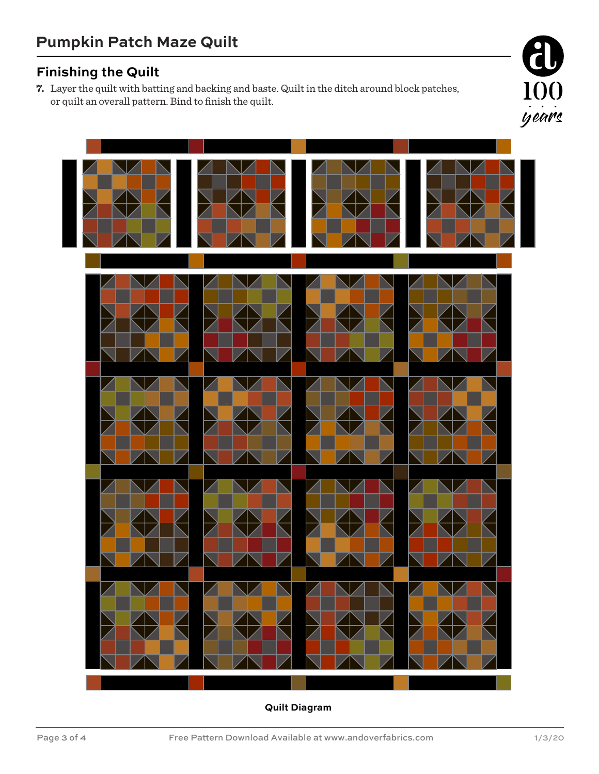### **Finishing the Quilt**

**7.** Layer the quilt with batting and backing and baste. Quilt in the ditch around block patches, or quilt an overall pattern. Bind to finish the quilt.



**Quilt Diagram**